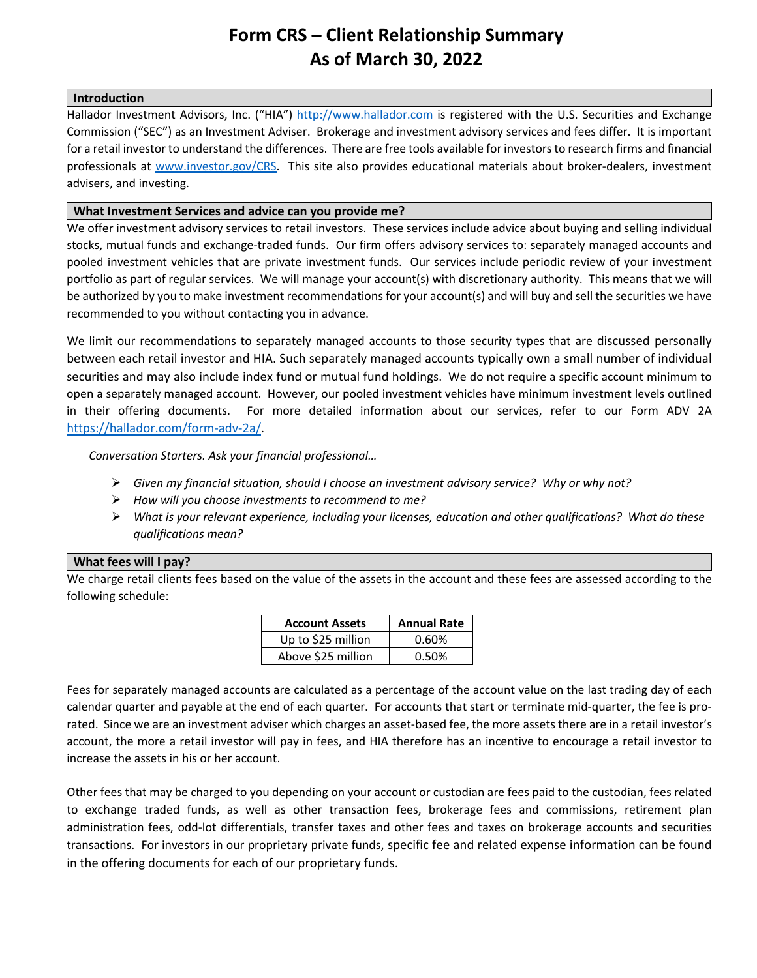# <span id="page-0-0"></span>**Form CRS – Client Relationship Summary As of March 30, 2022**

### **Introduction**

Hallador Investment Advisors, Inc. ("HIA") [http://www.hallador.com](http://www.hallador.com/) is registered with the U.S. Securities and Exchange [Commission \("SEC"\)](http://www.sec.org/) as an Investment Adviser. Brokerage and investment advisory services and fees differ. It is important for a retail investor to understand the differences. There are free tools available for investors to research firms and financial professionals at [www.investor.gov/CRS.](http://www.investor.gov/CRS) This site also provides educational materials about broker-dealers, investment advisers, and investing.

### **What Investment Services and advice can you provide me?**

We offer investment advisory services to retail investors. These services include advice about buying and selling individual stocks, mutual funds and exchange-traded funds. Our firm offers advisory services to: [separately managed accounts](#page-0-0) and pooled investment vehicles that are private investment funds. Our services include periodic review of your investment portfolio as part of regular services. We will manage your account(s) with discretionary authority. This means that we will be authorized by you to make investment recommendations for your account(s) and will buy and sell the securities we have recommended to you without contacting you in advance.

We limit our recommendations to separately managed accounts to those security types that are discussed personally between each retail investor and HIA. Such separately managed accounts typically own a small number of individual securities and may also include index fund or mutual fund holdings. We do not require a specific account minimum to open a separately managed account. However, our pooled investment vehicles have minimum investment levels outlined in their offering documents. For more detailed information about our services, refer to our Form ADV 2A [https://hallador.com/form-adv-2a/.](https://hallador.com/form-adv-2a/)

*Conversation Starters. Ask your financial professional…*

- *Given my financial situation, should I choose an investment advisory service? Why or why not?*
- *How will you choose investments to recommend to me?*
- *What is your relevant experience, including your licenses, education and other qualifications? What do these qualifications mean?*

## **What fees will I pay?**

We charge retail clients fees based on the value of the assets in the account and these fees are assessed according to the following schedule:

<span id="page-0-1"></span>

| <b>Account Assets</b> | <b>Annual Rate</b> |
|-----------------------|--------------------|
| Up to \$25 million    | 0.60%              |
| Above \$25 million    | 0.50%              |

Fees for separately managed accounts are calculated as a percentage of the account value on the last trading day of each calendar quarter and payable at the end of each quarter. For accounts that start or terminate mid-quarter, the fee is prorated. Since we are an investment adviser which charges an asset-based fee, the more assets there are in a retail investor's account, the more a retail investor will pay in fees, and HIA therefore has an incentive to encourage a retail investor to increase the assets in his or her account.

<span id="page-0-2"></span>Other fees that may be charged to you depending on your account or custodian are fees paid to the [custodian,](#page-0-1) fees related to [exchange](#page-0-2) traded funds, as well as other transaction fees, brokerage fees and commissions, retirement plan administration fees, odd-lot differentials, transfer taxes and other fees and taxes on brokerage accounts and securities transactions. For investors in our proprietary private funds, specific fee and related expense information can be found in the offering documents for each of our proprietary funds.